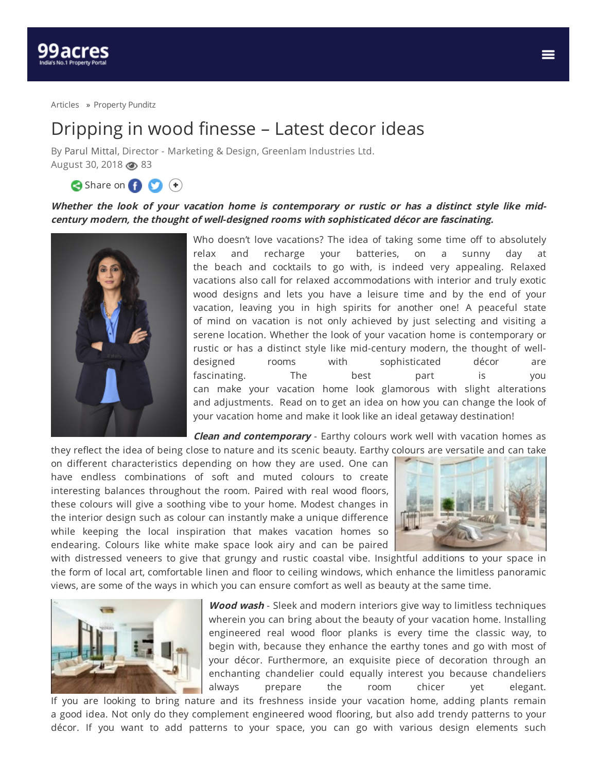[Articles](https://www.99acres.com/articles/) » [Property](https://www.99acres.com/articles/property-punditz) Punditz

## Dripping in wood finesse – Latest decor ideas

By Parul [Mittal](https://www.99acres.com/articles/author/parulmittal), Director - Marketing & Design, Greenlam Industries Ltd. August 30, 2018  $\circledcirc$  83

Share on (1) (1)

## Whether the look of your vacation home is contemporary or rustic or has a distinct style like mid**century modern, the thought of well-designed rooms with sophisticated décor are fascinating.**



Who doesn't love vacations? The idea of taking some time off to absolutely relax and recharge your batteries, on a sunny day at the beach and cocktails to go with, is indeed very appealing. Relaxed vacations also call for relaxed accommodations with interior and truly exotic wood designs and lets you have a leisure time and by the end of your vacation, leaving you in high spirits for another one! A peaceful state of mind on vacation is not only achieved by just selecting and visiting a serene location. Whether the look of your vacation home is contemporary or rustic or has a distinct style like mid-century modern, the thought of welldesigned rooms with sophisticated décor are fascinating. The best part is you can make your vacation home look glamorous with slight alterations and adjustments. Read on to get an idea on how you can change the look of your vacation home and make it look like an ideal getaway destination!

**Clean and contemporary** - Earthy colours work well with vacation homes as

they reflect the idea of being close to nature and its scenic beauty. Earthy colours are versatile and can take on different characteristics depending on how they are used. One can have endless combinations of soft and muted colours to create interesting balances throughout the room. Paired with real wood floors, these colours will give a soothing vibe to your home. Modest changes in the interior design such as colour can instantly make a unique difference while keeping the local inspiration that makes vacation homes so endearing. Colours like white make space look airy and can be paired



with distressed veneers to give that grungy and rustic coastal vibe. Insightful additions to your space in the form of local art, comfortable linen and floor to ceiling windows, which enhance the limitless panoramic views, are some of the ways in which you can ensure comfort as well as beauty at the same time.



**Wood wash** - Sleek and modern interiors give way to limitless techniques wherein you can bring about the beauty of your vacation home. Installing engineered real wood floor planks is every time the classic way, to begin with, because they enhance the earthy tones and go with most of your décor. Furthermore, an exquisite piece of decoration through an enchanting chandelier could equally interest you because chandeliers always prepare the room chicer yet elegant.

If you are looking to bring nature and its freshness inside your vacation home, adding plants remain a good idea. Not only do they complement engineered wood flooring, but also add trendy patterns to your décor. If you want to add patterns to your space, you can go with various design elements such